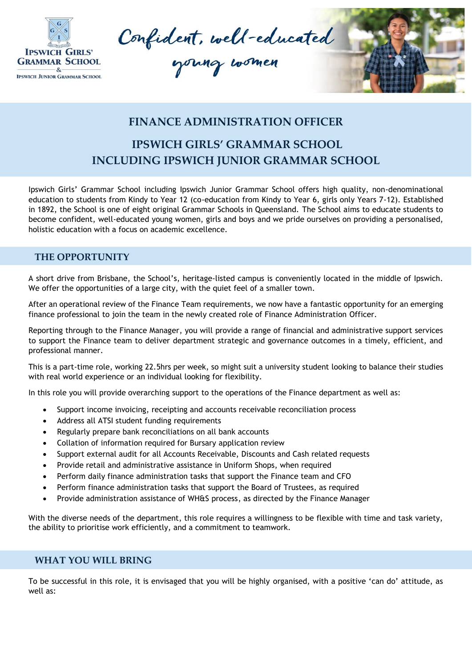

Confident, well-educated





## **FINANCE ADMINISTRATION OFFICER**

# **IPSWICH GIRLS' GRAMMAR SCHOOL INCLUDING IPSWICH JUNIOR GRAMMAR SCHOOL**

Ipswich Girls' Grammar School including Ipswich Junior Grammar School offers high quality, non-denominational education to students from Kindy to Year 12 (co-education from Kindy to Year 6, girls only Years 7-12). Established in 1892, the School is one of eight original Grammar Schools in Queensland. The School aims to educate students to become confident, well-educated young women, girls and boys and we pride ourselves on providing a personalised, holistic education with a focus on academic excellence.

### **THE OPPORTUNITY**

A short drive from Brisbane, the School's, heritage-listed campus is conveniently located in the middle of Ipswich. We offer the opportunities of a large city, with the quiet feel of a smaller town.

After an operational review of the Finance Team requirements, we now have a fantastic opportunity for an emerging finance professional to join the team in the newly created role of Finance Administration Officer.

Reporting through to the Finance Manager, you will provide a range of financial and administrative support services to support the Finance team to deliver department strategic and governance outcomes in a timely, efficient, and professional manner.

This is a part-time role, working 22.5hrs per week, so might suit a university student looking to balance their studies with real world experience or an individual looking for flexibility.

In this role you will provide overarching support to the operations of the Finance department as well as:

- Support income invoicing, receipting and accounts receivable reconciliation process
- Address all ATSI student funding requirements
- Regularly prepare bank reconciliations on all bank accounts
- Collation of information required for Bursary application review
- Support external audit for all Accounts Receivable, Discounts and Cash related requests
- Provide retail and administrative assistance in Uniform Shops, when required
- Perform daily finance administration tasks that support the Finance team and CFO
- Perform finance administration tasks that support the Board of Trustees, as required
- Provide administration assistance of WH&S process, as directed by the Finance Manager

With the diverse needs of the department, this role requires a willingness to be flexible with time and task variety, the ability to prioritise work efficiently, and a commitment to teamwork.

#### **WHAT YOU WILL BRING**

To be successful in this role, it is envisaged that you will be highly organised, with a positive 'can do' attitude, as well as: